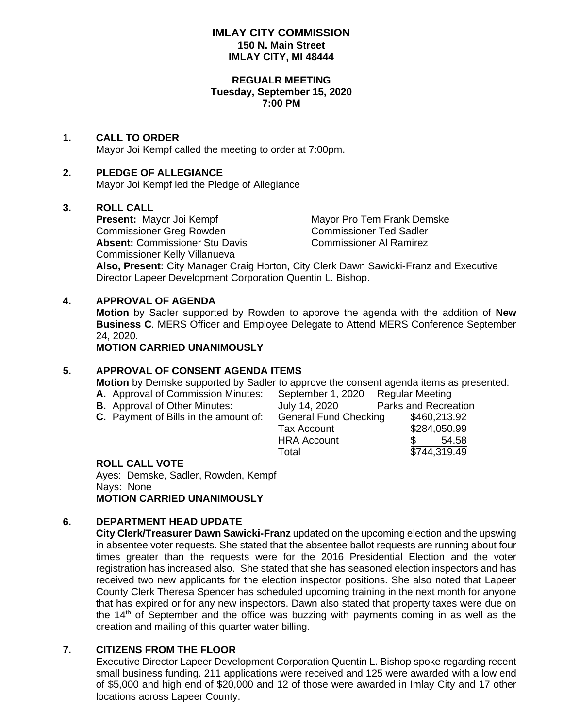# **IMLAY CITY COMMISSION 150 N. Main Street IMLAY CITY, MI 48444**

#### **REGUALR MEETING Tuesday, September 15, 2020 7:00 PM**

# **1. CALL TO ORDER**

Mayor Joi Kempf called the meeting to order at 7:00pm.

# **2. PLEDGE OF ALLEGIANCE**

Mayor Joi Kempf led the Pledge of Allegiance

### **3. ROLL CALL**

**Present:** Mayor Joi Kempf Mayor Pro Tem Frank Demske Commissioner Greg Rowden Commissioner Ted Sadler Absent: Commissioner Stu Davis **Commissioner Al Ramirez** Commissioner Kelly Villanueva

**Also, Present:** City Manager Craig Horton, City Clerk Dawn Sawicki-Franz and Executive Director Lapeer Development Corporation Quentin L. Bishop.

### **4. APPROVAL OF AGENDA**

**Motion** by Sadler supported by Rowden to approve the agenda with the addition of **New Business C**. MERS Officer and Employee Delegate to Attend MERS Conference September 24, 2020.

**MOTION CARRIED UNANIMOUSLY**

# **5. APPROVAL OF CONSENT AGENDA ITEMS**

**Motion** by Demske supported by Sadler to approve the consent agenda items as presented:

- 
- 
- 

**A.** Approval of Commission Minutes: September 1, 2020 Regular Meeting **B.** Approval of Other Minutes:  $\frac{J_{UV}}{2}$  14, 2020 Parks and Recreation **C.** Payment of Bills in the amount of: General Fund Checking \$460,213.92 Tax Account \$284,050.99 HRA Account \$ 54.58 Total \$744,319.49

#### **ROLL CALL VOTE**

Ayes: Demske, Sadler, Rowden, Kempf Nays: None **MOTION CARRIED UNANIMOUSLY**

# **6. DEPARTMENT HEAD UPDATE**

**City Clerk/Treasurer Dawn Sawicki-Franz** updated on the upcoming election and the upswing in absentee voter requests. She stated that the absentee ballot requests are running about four times greater than the requests were for the 2016 Presidential Election and the voter registration has increased also. She stated that she has seasoned election inspectors and has received two new applicants for the election inspector positions. She also noted that Lapeer County Clerk Theresa Spencer has scheduled upcoming training in the next month for anyone that has expired or for any new inspectors. Dawn also stated that property taxes were due on the  $14<sup>th</sup>$  of September and the office was buzzing with payments coming in as well as the creation and mailing of this quarter water billing.

# **7. CITIZENS FROM THE FLOOR**

Executive Director Lapeer Development Corporation Quentin L. Bishop spoke regarding recent small business funding. 211 applications were received and 125 were awarded with a low end of \$5,000 and high end of \$20,000 and 12 of those were awarded in Imlay City and 17 other locations across Lapeer County.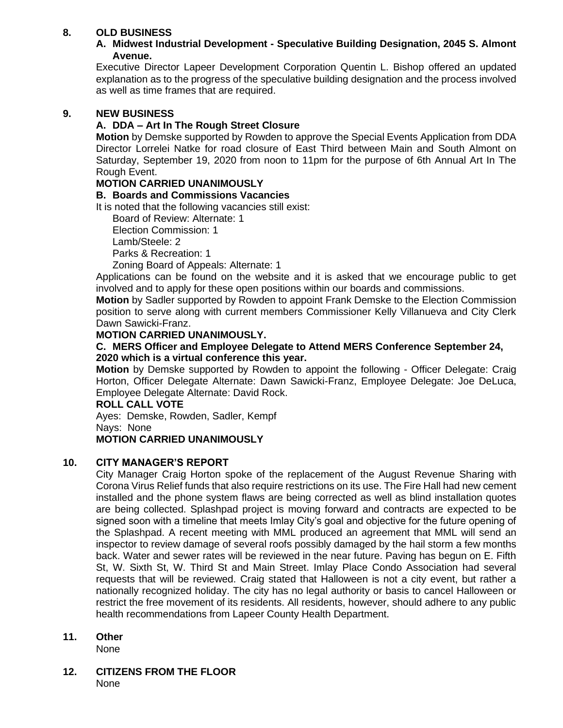# **8. OLD BUSINESS**

# **A. Midwest Industrial Development - Speculative Building Designation, 2045 S. Almont Avenue.**

Executive Director Lapeer Development Corporation Quentin L. Bishop offered an updated explanation as to the progress of the speculative building designation and the process involved as well as time frames that are required.

## **9. NEW BUSINESS**

# **A. DDA – Art In The Rough Street Closure**

**Motion** by Demske supported by Rowden to approve the Special Events Application from DDA Director Lorrelei Natke for road closure of East Third between Main and South Almont on Saturday, September 19, 2020 from noon to 11pm for the purpose of 6th Annual Art In The Rough Event.

## **MOTION CARRIED UNANIMOUSLY**

### **B. Boards and Commissions Vacancies**

It is noted that the following vacancies still exist:

Board of Review: Alternate: 1

Election Commission: 1

Lamb/Steele: 2

Parks & Recreation: 1

Zoning Board of Appeals: Alternate: 1

Applications can be found on the website and it is asked that we encourage public to get involved and to apply for these open positions within our boards and commissions.

**Motion** by Sadler supported by Rowden to appoint Frank Demske to the Election Commission position to serve along with current members Commissioner Kelly Villanueva and City Clerk Dawn Sawicki-Franz.

### **MOTION CARRIED UNANIMOUSLY.**

#### **C. MERS Officer and Employee Delegate to Attend MERS Conference September 24, 2020 which is a virtual conference this year.**

**Motion** by Demske supported by Rowden to appoint the following - Officer Delegate: Craig Horton, Officer Delegate Alternate: Dawn Sawicki-Franz, Employee Delegate: Joe DeLuca, Employee Delegate Alternate: David Rock.

#### **ROLL CALL VOTE**

Ayes: Demske, Rowden, Sadler, Kempf Nays: None

# **MOTION CARRIED UNANIMOUSLY**

# **10. CITY MANAGER'S REPORT**

City Manager Craig Horton spoke of the replacement of the August Revenue Sharing with Corona Virus Relief funds that also require restrictions on its use. The Fire Hall had new cement installed and the phone system flaws are being corrected as well as blind installation quotes are being collected. Splashpad project is moving forward and contracts are expected to be signed soon with a timeline that meets Imlay City's goal and objective for the future opening of the Splashpad. A recent meeting with MML produced an agreement that MML will send an inspector to review damage of several roofs possibly damaged by the hail storm a few months back. Water and sewer rates will be reviewed in the near future. Paving has begun on E. Fifth St, W. Sixth St, W. Third St and Main Street. Imlay Place Condo Association had several requests that will be reviewed. Craig stated that Halloween is not a city event, but rather a nationally recognized holiday. The city has no legal authority or basis to cancel Halloween or restrict the free movement of its residents. All residents, however, should adhere to any public health recommendations from Lapeer County Health Department.

# **11. Other**

None

**12. CITIZENS FROM THE FLOOR** None